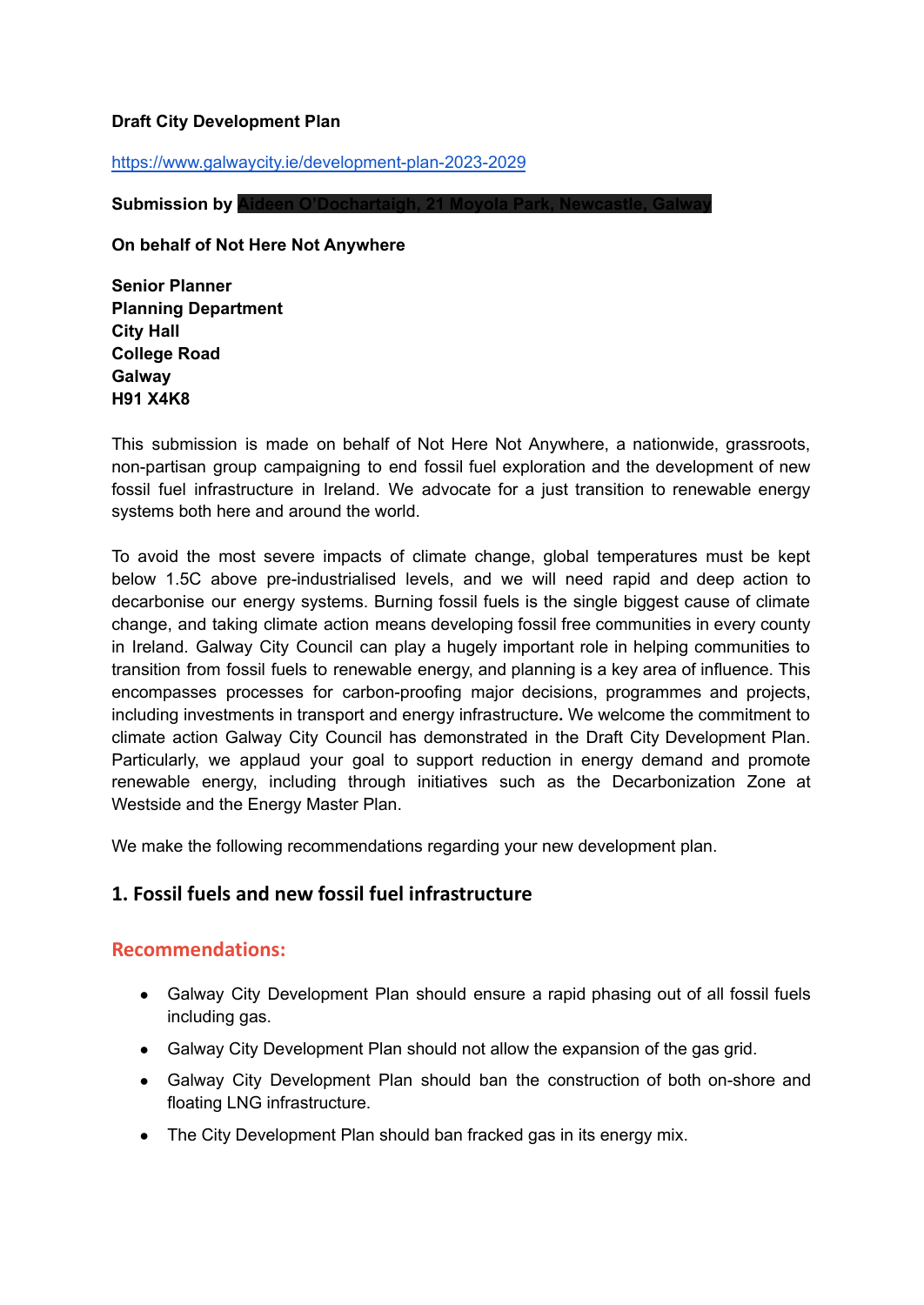#### **Draft City Development Plan**

<https://www.galwaycity.ie/development-plan-2023-2029>

**Submission by Aideen O'Dochartaigh, 21 Moyola Park** 

**On behalf of Not Here Not Anywhere**

**Senior Planner Planning Department City Hall College Road Galway H91 X4K8**

This submission is made on behalf of Not Here Not Anywhere, a nationwide, grassroots, non-partisan group campaigning to end fossil fuel exploration and the development of new fossil fuel infrastructure in Ireland. We advocate for a just transition to renewable energy systems both here and around the world.

To avoid the most severe impacts of climate change, global temperatures must be kept below 1.5C above pre-industrialised levels, and we will need rapid and deep action to decarbonise our energy systems. Burning fossil fuels is the single biggest cause of climate change, and taking climate action means developing fossil free communities in every county in Ireland. Galway City Council can play a hugely important role in helping communities to transition from fossil fuels to renewable energy, and planning is a key area of influence. This encompasses processes for carbon-proofing major decisions, programmes and projects, including investments in transport and energy infrastructure**.** We welcome the commitment to climate action Galway City Council has demonstrated in the Draft City Development Plan. Particularly, we applaud your goal to support reduction in energy demand and promote renewable energy, including through initiatives such as the Decarbonization Zone at Westside and the Energy Master Plan.

We make the following recommendations regarding your new development plan.

## **1. Fossil fuels and new fossil fuel infrastructure**

## **Recommendations:**

- Galway City Development Plan should ensure a rapid phasing out of all fossil fuels including gas.
- Galway City Development Plan should not allow the expansion of the gas grid.
- Galway City Development Plan should ban the construction of both on-shore and floating LNG infrastructure.
- The City Development Plan should ban fracked gas in its energy mix.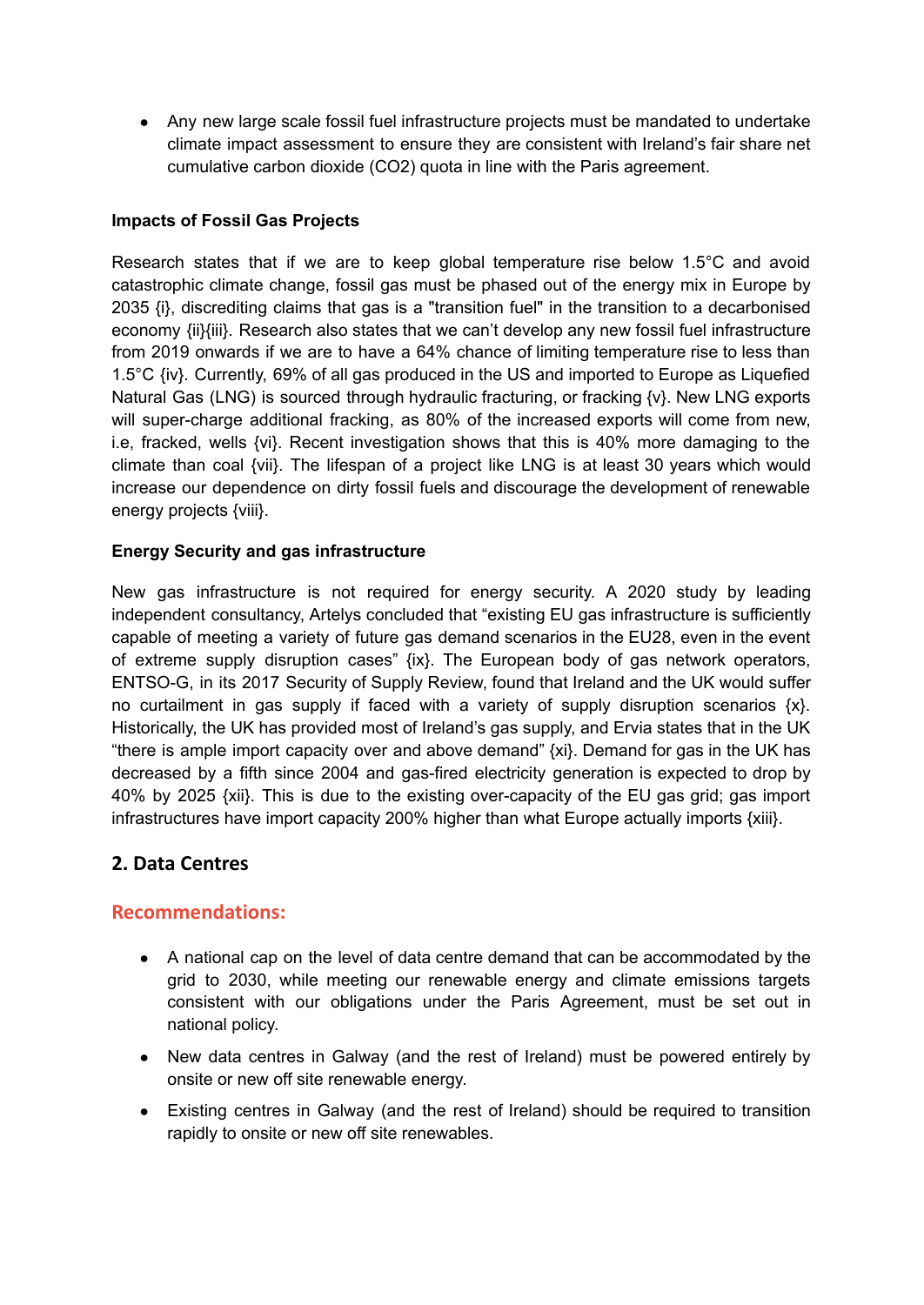● Any new large scale fossil fuel infrastructure projects must be mandated to undertake climate impact assessment to ensure they are consistent with Ireland's fair share net cumulative carbon dioxide (CO2) quota in line with the Paris agreement.

### **Impacts of Fossil Gas Projects**

Research states that if we are to keep global temperature rise below 1.5°C and avoid catastrophic climate change, fossil gas must be phased out of the energy mix in Europe by 2035 {i}, discrediting claims that gas is a "transition fuel" in the transition to a decarbonised economy {ii}{iii}. Research also states that we can't develop any new fossil fuel infrastructure from 2019 onwards if we are to have a 64% chance of limiting temperature rise to less than 1.5°C {iv}. Currently, 69% of all gas produced in the US and imported to Europe as Liquefied Natural Gas (LNG) is sourced through hydraulic fracturing, or fracking  $\{v\}$ . New LNG exports will super-charge additional fracking, as 80% of the increased exports will come from new, i.e, fracked, wells {vi}. Recent investigation shows that this is 40% more damaging to the climate than coal {vii}. The lifespan of a project like LNG is at least 30 years which would increase our dependence on dirty fossil fuels and discourage the development of renewable energy projects {viii}.

#### **Energy Security and gas infrastructure**

New gas infrastructure is not required for energy security. A 2020 study by leading independent consultancy, Artelys concluded that "existing EU gas infrastructure is sufficiently capable of meeting a variety of future gas demand scenarios in the EU28, even in the event of extreme supply disruption cases" {ix}. The European body of gas network operators, ENTSO-G, in its 2017 Security of Supply Review, found that Ireland and the UK would suffer no curtailment in gas supply if faced with a variety of supply disruption scenarios  $\{x\}$ . Historically, the UK has provided most of Ireland's gas supply, and Ervia states that in the UK "there is ample import capacity over and above demand" {xi}. Demand for gas in the UK has decreased by a fifth since 2004 and gas-fired electricity generation is expected to drop by 40% by 2025 {xii}. This is due to the existing over-capacity of the EU gas grid; gas import infrastructures have import capacity 200% higher than what Europe actually imports {xiii}.

# **2. Data Centres**

# **Recommendations:**

- A national cap on the level of data centre demand that can be accommodated by the grid to 2030, while meeting our renewable energy and climate emissions targets consistent with our obligations under the Paris Agreement, must be set out in national policy.
- New data centres in Galway (and the rest of Ireland) must be powered entirely by onsite or new off site renewable energy.
- Existing centres in Galway (and the rest of Ireland) should be required to transition rapidly to onsite or new off site renewables.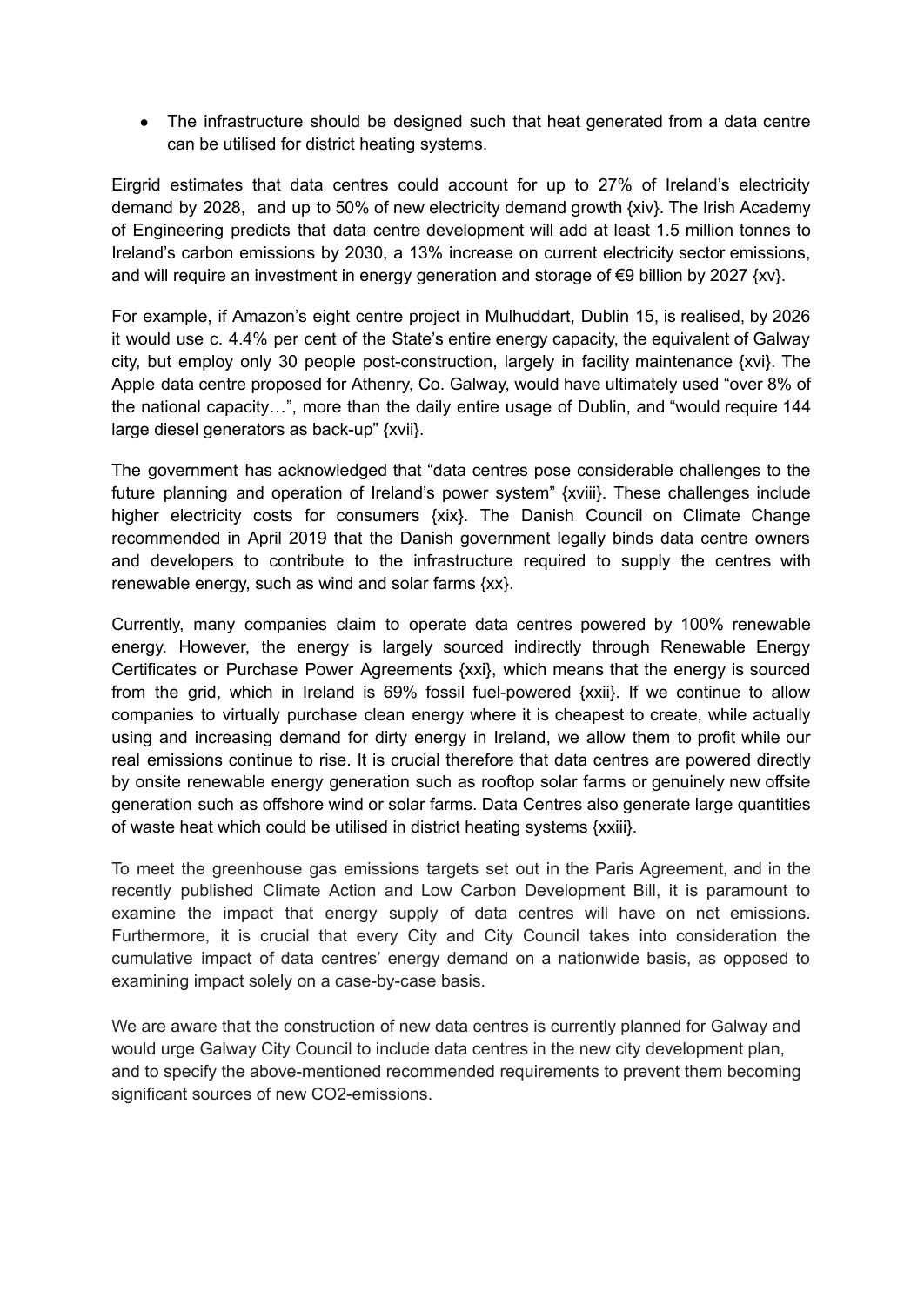● The infrastructure should be designed such that heat generated from a data centre can be utilised for district heating systems.

Eirgrid estimates that data centres could account for up to 27% of Ireland's electricity demand by 2028, and up to 50% of new electricity demand growth {xiv}. The Irish Academy of Engineering predicts that data centre development will add at least 1.5 million tonnes to Ireland's carbon emissions by 2030, a 13% increase on current electricity sector emissions, and will require an investment in energy generation and storage of  $\epsilon$ 9 billion by 2027 {xv}.

For example, if Amazon's eight centre project in Mulhuddart, Dublin 15, is realised, by 2026 it would use c. 4.4% per cent of the State's entire energy capacity, the equivalent of Galway city, but employ only 30 people post-construction, largely in facility maintenance {xvi}. The Apple data centre proposed for Athenry, Co. Galway, would have ultimately used "over 8% of the national capacity…", more than the daily entire usage of Dublin, and "would require 144 large diesel generators as back-up" {xvii}.

The government has acknowledged that "data centres pose considerable challenges to the future planning and operation of Ireland's power system" {xviii}. These challenges include higher electricity costs for consumers {xix}. The Danish Council on Climate Change recommended in April 2019 that the Danish government legally binds data centre owners and developers to contribute to the infrastructure required to supply the centres with renewable energy, such as wind and solar farms {xx}.

Currently, many companies claim to operate data centres powered by 100% renewable energy. However, the energy is largely sourced indirectly through Renewable Energy Certificates or Purchase Power Agreements {xxi}, which means that the energy is sourced from the grid, which in Ireland is 69% fossil fuel-powered {xxii}. If we continue to allow companies to virtually purchase clean energy where it is cheapest to create, while actually using and increasing demand for dirty energy in Ireland, we allow them to profit while our real emissions continue to rise. It is crucial therefore that data centres are powered directly by onsite renewable energy generation such as rooftop solar farms or genuinely new offsite generation such as offshore wind or solar farms. Data Centres also generate large quantities of waste heat which could be utilised in district heating systems {xxiii}.

To meet the greenhouse gas emissions targets set out in the Paris Agreement, and in the recently published Climate Action and Low Carbon Development Bill, it is paramount to examine the impact that energy supply of data centres will have on net emissions. Furthermore, it is crucial that every City and City Council takes into consideration the cumulative impact of data centres' energy demand on a nationwide basis, as opposed to examining impact solely on a case-by-case basis.

We are aware that the construction of new data centres is currently planned for Galway and would urge Galway City Council to include data centres in the new city development plan, and to specify the above-mentioned recommended requirements to prevent them becoming significant sources of new CO2-emissions.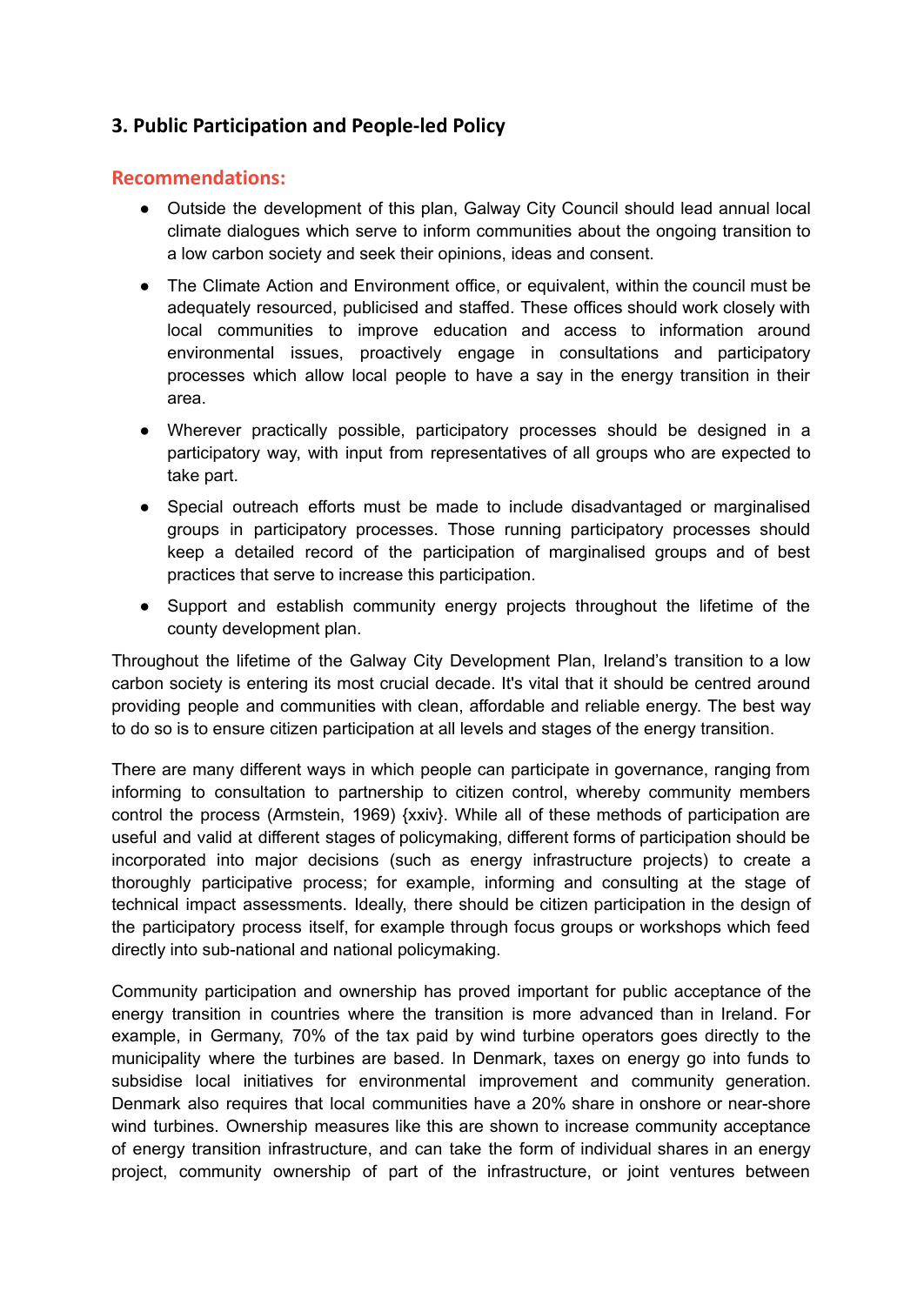# **3. Public Participation and People-led Policy**

## **Recommendations:**

- Outside the development of this plan, Galway City Council should lead annual local climate dialogues which serve to inform communities about the ongoing transition to a low carbon society and seek their opinions, ideas and consent.
- The Climate Action and Environment office, or equivalent, within the council must be adequately resourced, publicised and staffed. These offices should work closely with local communities to improve education and access to information around environmental issues, proactively engage in consultations and participatory processes which allow local people to have a say in the energy transition in their area.
- Wherever practically possible, participatory processes should be designed in a participatory way, with input from representatives of all groups who are expected to take part.
- Special outreach efforts must be made to include disadvantaged or marginalised groups in participatory processes. Those running participatory processes should keep a detailed record of the participation of marginalised groups and of best practices that serve to increase this participation.
- Support and establish community energy projects throughout the lifetime of the county development plan.

Throughout the lifetime of the Galway City Development Plan, Ireland's transition to a low carbon society is entering its most crucial decade. It's vital that it should be centred around providing people and communities with clean, affordable and reliable energy. The best way to do so is to ensure citizen participation at all levels and stages of the energy transition.

There are many different ways in which people can participate in governance, ranging from informing to consultation to partnership to citizen control, whereby community members control the process (Armstein, 1969) {xxiv}. While all of these methods of participation are useful and valid at different stages of policymaking, different forms of participation should be incorporated into major decisions (such as energy infrastructure projects) to create a thoroughly participative process; for example, informing and consulting at the stage of technical impact assessments. Ideally, there should be citizen participation in the design of the participatory process itself, for example through focus groups or workshops which feed directly into sub-national and national policymaking.

Community participation and ownership has proved important for public acceptance of the energy transition in countries where the transition is more advanced than in Ireland. For example, in Germany, 70% of the tax paid by wind turbine operators goes directly to the municipality where the turbines are based. In Denmark, taxes on energy go into funds to subsidise local initiatives for environmental improvement and community generation. Denmark also requires that local communities have a 20% share in onshore or near-shore wind turbines. Ownership measures like this are shown to increase community acceptance of energy transition infrastructure, and can take the form of individual shares in an energy project, community ownership of part of the infrastructure, or joint ventures between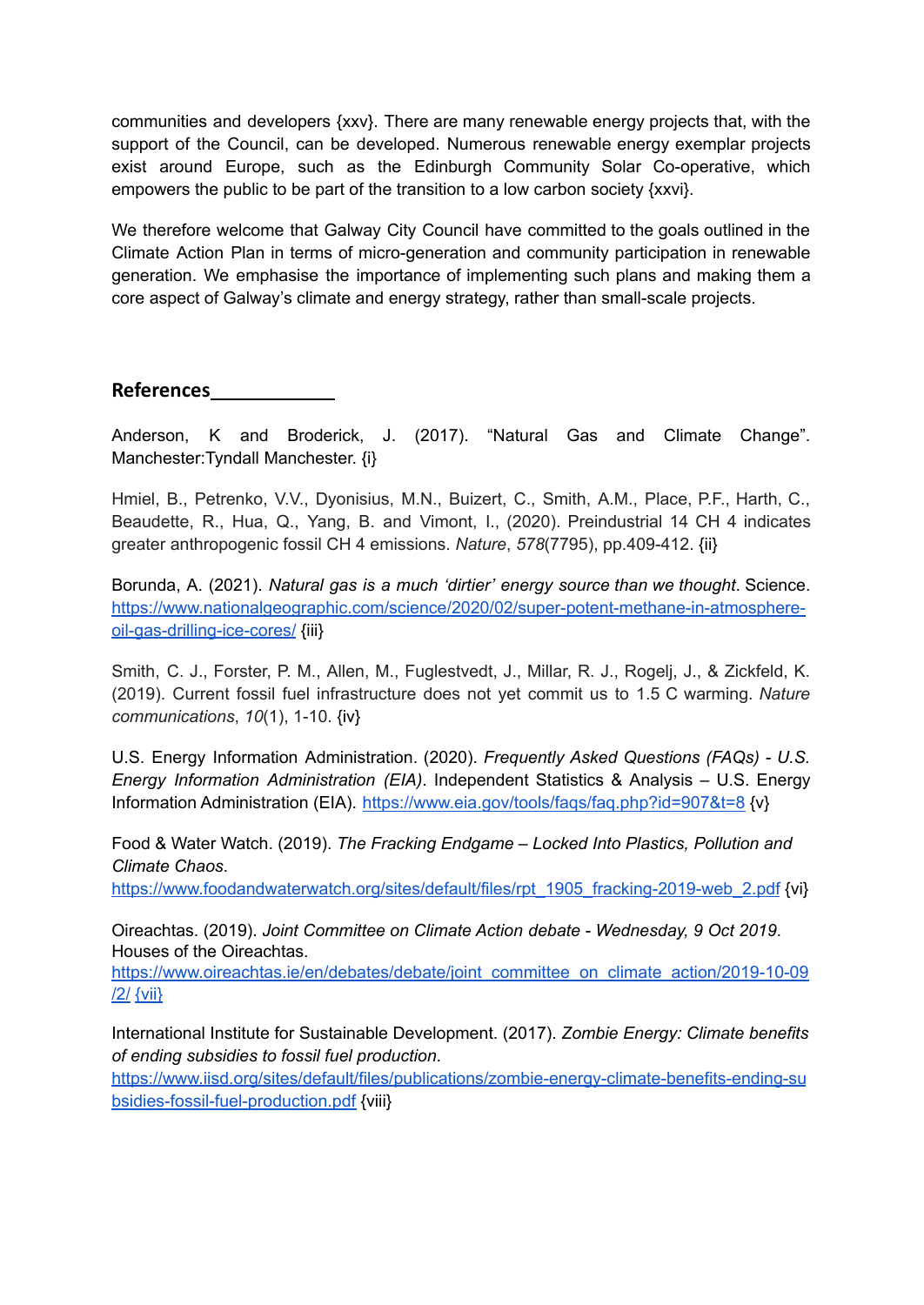communities and developers {xxv}. There are many renewable energy projects that, with the support of the Council, can be developed. Numerous renewable energy exemplar projects exist around Europe, such as the Edinburgh Community Solar Co-operative, which empowers the public to be part of the transition to a low carbon society {xxvi}.

We therefore welcome that Galway City Council have committed to the goals outlined in the Climate Action Plan in terms of micro-generation and community participation in renewable generation. We emphasise the importance of implementing such plans and making them a core aspect of Galway's climate and energy strategy, rather than small-scale projects.

**References**

Anderson, K and Broderick, J. (2017). "Natural Gas and Climate Change". Manchester:Tyndall Manchester. {i}

Hmiel, B., Petrenko, V.V., Dyonisius, M.N., Buizert, C., Smith, A.M., Place, P.F., Harth, C., Beaudette, R., Hua, Q., Yang, B. and Vimont, I., (2020). Preindustrial 14 CH 4 indicates greater anthropogenic fossil CH 4 emissions. *Nature*, *578*(7795), pp.409-412. {ii}

Borunda, A. (2021). *Natural gas is a much 'dirtier' energy source than we thought*. Science. [https://www.nationalgeographic.com/science/2020/02/super-potent-methane-in-atmosphere](https://www.nationalgeographic.com/science/2020/02/super-potent-methane-in-atmosphere-oil-gas-drilling-ice-cores/)[oil-gas-drilling-ice-cores/](https://www.nationalgeographic.com/science/2020/02/super-potent-methane-in-atmosphere-oil-gas-drilling-ice-cores/) {iii}

Smith, C. J., Forster, P. M., Allen, M., Fuglestvedt, J., Millar, R. J., Rogelj, J., & Zickfeld, K. (2019). Current fossil fuel infrastructure does not yet commit us to 1.5 C warming. *Nature communications*, *10*(1), 1-10. {iv}

U.S. Energy Information Administration. (2020). *Frequently Asked Questions (FAQs) - U.S. Energy Information Administration (EIA)*. Independent Statistics & Analysis – U.S. Energy Information Administration (EIA). <https://www.eia.gov/tools/faqs/faq.php?id=907&t=8> {v}

Food & Water Watch. (2019). *The Fracking Endgame – Locked Into Plastics, Pollution and Climate Chaos*.

[https://www.foodandwaterwatch.org/sites/default/files/rpt\\_1905\\_fracking-2019-web\\_2.pdf](https://www.foodandwaterwatch.org/sites/default/files/rpt_1905_fracking-2019-web_2.pdf) {vi}

Oireachtas. (2019). *Joint Committee on Climate Action debate - Wednesday, 9 Oct 2019*. Houses of the Oireachtas.

[https://www.oireachtas.ie/en/debates/debate/joint\\_committee\\_on\\_climate\\_action/2019-10-09](https://www.oireachtas.ie/en/debates/debate/joint_committee_on_climate_action/2019-10-09/2/) [/2/](https://www.oireachtas.ie/en/debates/debate/joint_committee_on_climate_action/2019-10-09/2/) [{vii}](https://www.oireachtas.ie/en/debates/debate/joint_committee_on_climate_action/2019-10-09/2/)

International Institute for Sustainable Development. (2017). *Zombie Energy: Climate benefits of ending subsidies to fossil fuel production*.

[https://www.iisd.org/sites/default/files/publications/zombie-energy-climate-benefits-ending-su](https://www.iisd.org/sites/default/files/publications/zombie-energy-climate-benefits-ending-subsidies-fossil-fuel-production.pdf) [bsidies-fossil-fuel-production.pdf](https://www.iisd.org/sites/default/files/publications/zombie-energy-climate-benefits-ending-subsidies-fossil-fuel-production.pdf) {viii}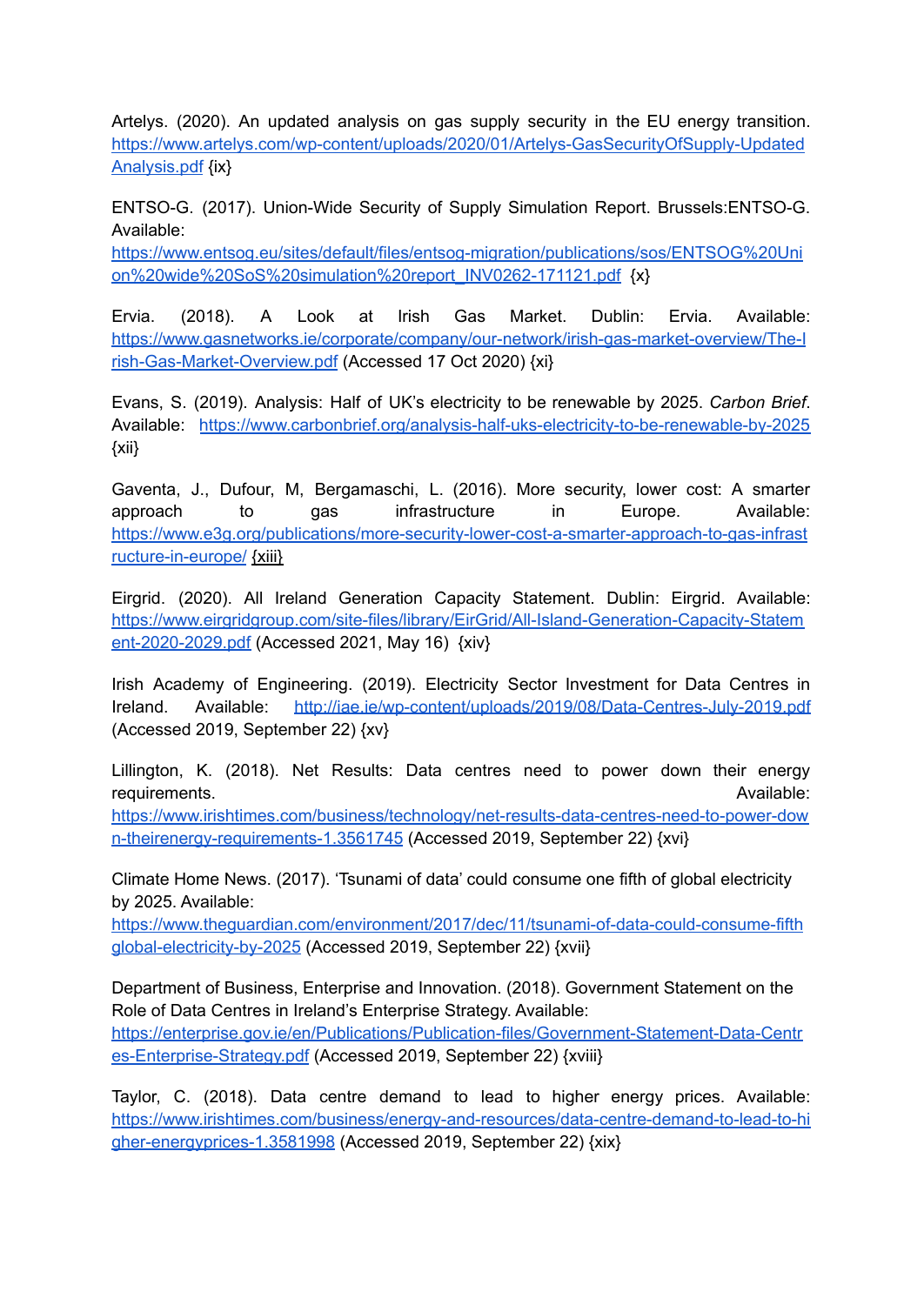Artelys. (2020). An updated analysis on gas supply security in the EU energy transition[.](https://www.artelys.com/wp-content/uploads/2020/01/Artelys-GasSecurityOfSupply-UpdatedAnalysis.pdf) [https://www.artelys.com/wp-content/uploads/2020/01/Artelys-GasSecurityOfSupply-Updated](https://www.artelys.com/wp-content/uploads/2020/01/Artelys-GasSecurityOfSupply-UpdatedAnalysis.pdf) [Analysis.pdf](https://www.artelys.com/wp-content/uploads/2020/01/Artelys-GasSecurityOfSupply-UpdatedAnalysis.pdf) {ix}

ENTSO-G. (2017). Union-Wide Security of Supply Simulation Report. Brussels:ENTSO-G. Available[:](https://www.entsog.eu/sites/default/files/entsog-migration/publications/sos/ENTSOG%20Union%20wide%20SoS%20simulation%20report_INV0262-171121.pdf)

[https://www.entsog.eu/sites/default/files/entsog-migration/publications/sos/ENTSOG%20Uni](https://www.entsog.eu/sites/default/files/entsog-migration/publications/sos/ENTSOG%20Union%20wide%20SoS%20simulation%20report_INV0262-171121.pdf) [on%20wide%20SoS%20simulation%20report\\_INV0262-171121.pdf](https://www.entsog.eu/sites/default/files/entsog-migration/publications/sos/ENTSOG%20Union%20wide%20SoS%20simulation%20report_INV0262-171121.pdf) {x}

Ervia. (2018). A Look at Irish Gas Market. Dublin: Ervia. Available: [https://www.gasnetworks.ie/corporate/company/our-network/irish-gas-market-overview/The-I](https://www.gasnetworks.ie/corporate/company/our-network/irish-gas-market-overview/The-Irish-Gas-Market-Overview.pdf) [rish-Gas-Market-Overview.pdf](https://www.gasnetworks.ie/corporate/company/our-network/irish-gas-market-overview/The-Irish-Gas-Market-Overview.pdf) (Accessed 17 Oct 2020) {xi}

Evans, S. (2019). Analysis: Half of UK's electricity to be renewable by 2025. *Carbon Brief*. Available: <https://www.carbonbrief.org/analysis-half-uks-electricity-to-be-renewable-by-2025> {xii}

Gaventa, J., Dufour, M, Bergamaschi, L. (2016). More security, lower cost: A smarter approach to gas infrastructure in Europe. Available: [https://www.e3g.org/publications/more-security-lower-cost-a-smarter-approach-to-gas-infrast](https://www.e3g.org/publications/more-security-lower-cost-a-smarter-approach-to-gas-infrastructure-in-europe/) [ructure-in-europe/](https://www.e3g.org/publications/more-security-lower-cost-a-smarter-approach-to-gas-infrastructure-in-europe/) [{xiii}](https://www.oireachtas.ie/en/debates/debate/joint_committee_on_climate_action/2019-10-09/2/)

Eirgrid. (2020). All Ireland Generation Capacity Statement. Dublin: Eirgrid. Available: [https://www.eirgridgroup.com/site-files/library/EirGrid/All-Island-Generation-Capacity-Statem](https://www.eirgridgroup.com/site-files/library/EirGrid/All-Island-Generation-Capacity-Statement-2020-2029.pdf) [ent-2020-2029.pdf](https://www.eirgridgroup.com/site-files/library/EirGrid/All-Island-Generation-Capacity-Statement-2020-2029.pdf) (Accessed 2021, May 16) [{xiv}](https://www.oireachtas.ie/en/debates/debate/joint_committee_on_climate_action/2019-10-09/2/)

Irish Academy of Engineering. (2019). Electricity Sector Investment for Data Centres in Ireland. Available: <http://iae.ie/wp-content/uploads/2019/08/Data-Centres-July-2019.pdf> (Accessed 2019, September 22) {xv}

Lillington, K. (2018). Net Results: Data centres need to power down their energy **requirements.** Available: [https://www.irishtimes.com/business/technology/net-results-data-centres-need-to-power-dow](https://www.irishtimes.com/business/technology/net-results-data-centres-need-to-power-down-theirenergy-requirements-1.3561745) [n-theirenergy-requirements-1.3561745](https://www.irishtimes.com/business/technology/net-results-data-centres-need-to-power-down-theirenergy-requirements-1.3561745) (Accessed 2019, September 22) {xvi}

Climate Home News. (2017). 'Tsunami of data' could consume one fifth of global electricity by 2025. Available:

[https://www.theguardian.com/environment/2017/dec/11/tsunami-of-data-could-consume-fifth](https://www.theguardian.com/environment/2017/dec/11/tsunami-of-data-could-consume-fifthglobal-electricity-by-2025) [global-electricity-by-2025](https://www.theguardian.com/environment/2017/dec/11/tsunami-of-data-could-consume-fifthglobal-electricity-by-2025) (Accessed 2019, September 22) {xvii}

Department of Business, Enterprise and Innovation. (2018). Government Statement on the Role of Data Centres in Ireland's Enterprise Strategy. Available: [https://enterprise.gov.ie/en/Publications/Publication-files/Government-Statement-Data-Centr](https://enterprise.gov.ie/en/Publications/Publication-files/Government-Statement-Data-Centres-Enterprise-Strategy.pdf) [es-Enterprise-Strategy.pdf](https://enterprise.gov.ie/en/Publications/Publication-files/Government-Statement-Data-Centres-Enterprise-Strategy.pdf) (Accessed 2019, September 22) {xviii}

Taylor, C. (2018). Data centre demand to lead to higher energy prices. Available: [https://www.irishtimes.com/business/energy-and-resources/data-centre-demand-to-lead-to-hi](https://www.irishtimes.com/business/energy-and-resources/data-centre-demand-to-lead-to-higher-energyprices-1.3581998) [gher-energyprices-1.3581998](https://www.irishtimes.com/business/energy-and-resources/data-centre-demand-to-lead-to-higher-energyprices-1.3581998) (Accessed 2019, September 22) {xix}